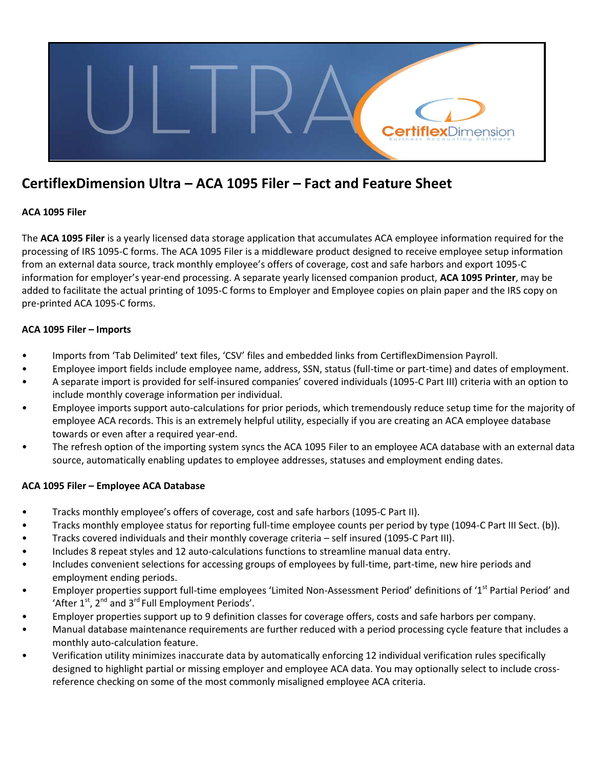

# **CertiflexDimension Ultra – ACA 1095 Filer – Fact and Feature Sheet**

# **ACA 1095 Filer**

The **ACA 1095 Filer** is a yearly licensed data storage application that accumulates ACA employee information required for the processing of IRS 1095-C forms. The ACA 1095 Filer is a middleware product designed to receive employee setup information from an external data source, track monthly employee's offers of coverage, cost and safe harbors and export 1095-C information for employer's year-end processing. A separate yearly licensed companion product, **ACA 1095 Printer**, may be added to facilitate the actual printing of 1095-C forms to Employer and Employee copies on plain paper and the IRS copy on pre-printed ACA 1095-C forms.

## **ACA 1095 Filer – Imports**

- Imports from 'Tab Delimited' text files, 'CSV' files and embedded links from CertiflexDimension Payroll.
- Employee import fields include employee name, address, SSN, status (full-time or part-time) and dates of employment.
- A separate import is provided for self-insured companies' covered individuals (1095-C Part III) criteria with an option to include monthly coverage information per individual.
- Employee imports support auto-calculations for prior periods, which tremendously reduce setup time for the majority of employee ACA records. This is an extremely helpful utility, especially if you are creating an ACA employee database towards or even after a required year-end.
- The refresh option of the importing system syncs the ACA 1095 Filer to an employee ACA database with an external data source, automatically enabling updates to employee addresses, statuses and employment ending dates.

# **ACA 1095 Filer – Employee ACA Database**

- Tracks monthly employee's offers of coverage, cost and safe harbors (1095-C Part II).
- Tracks monthly employee status for reporting full-time employee counts per period by type (1094-C Part III Sect. (b)).
- Tracks covered individuals and their monthly coverage criteria self insured (1095-C Part III).
- Includes 8 repeat styles and 12 auto-calculations functions to streamline manual data entry.
- Includes convenient selections for accessing groups of employees by full-time, part-time, new hire periods and employment ending periods.
- Employer properties support full-time employees 'Limited Non-Assessment Period' definitions of '1<sup>st</sup> Partial Period' and 'After  $1^{st}$ ,  $2^{nd}$  and  $3^{rd}$  Full Employment Periods'.
- Employer properties support up to 9 definition classes for coverage offers, costs and safe harbors per company.
- Manual database maintenance requirements are further reduced with a period processing cycle feature that includes a monthly auto-calculation feature.
- Verification utility minimizes inaccurate data by automatically enforcing 12 individual verification rules specifically designed to highlight partial or missing employer and employee ACA data. You may optionally select to include crossreference checking on some of the most commonly misaligned employee ACA criteria.